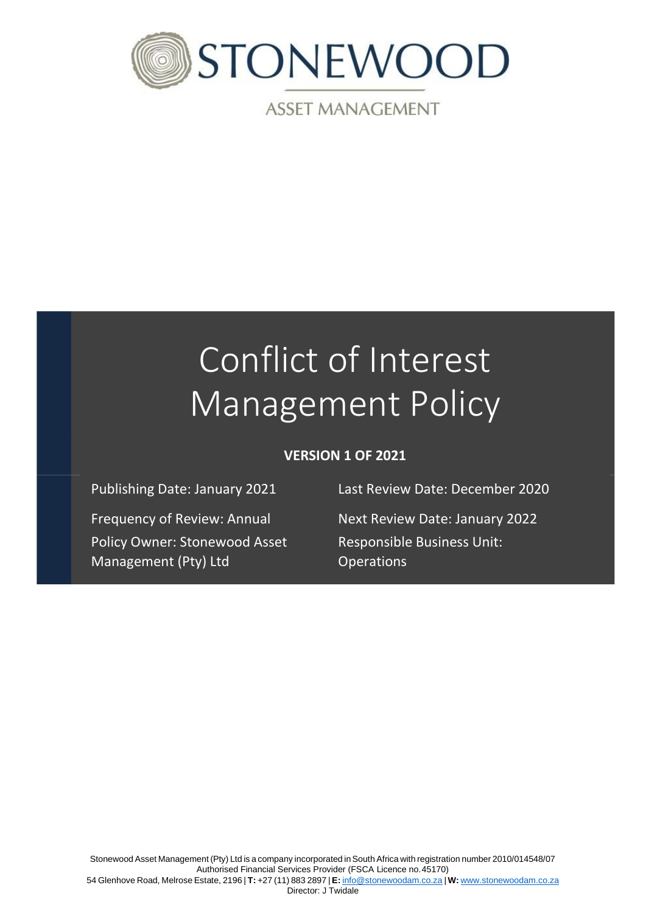

**ASSET MANAGEMENT** 

# Conflict of Interest Management Policy

## **VERSION 1 OF 2021**

Policy Owner: Stonewood Asset Management (Pty) Ltd

Publishing Date: January 2021 Last Review Date: December 2020

Frequency of Review: Annual Next Review Date: January 2022 Responsible Business Unit: **Operations**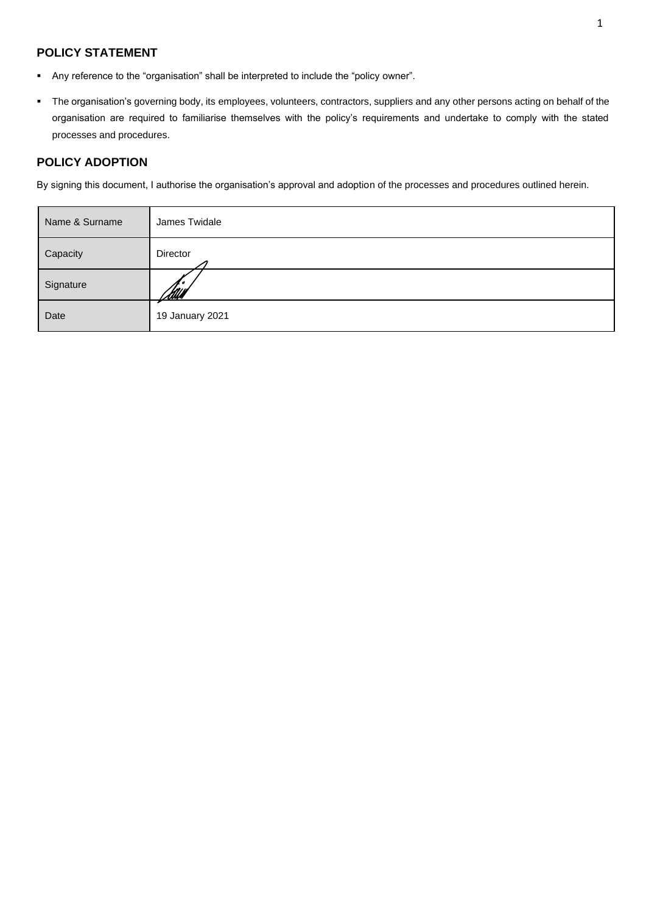## **POLICY STATEMENT**

- Any reference to the "organisation" shall be interpreted to include the "policy owner".
- The organisation's governing body, its employees, volunteers, contractors, suppliers and any other persons acting on behalf of the organisation are required to familiarise themselves with the policy's requirements and undertake to comply with the stated processes and procedures.

#### **POLICY ADOPTION**

By signing this document, I authorise the organisation's approval and adoption of the processes and procedures outlined herein.

| Name & Surname | James Twidale   |
|----------------|-----------------|
| Capacity       | Director        |
| Signature      | <u>Itul</u> l   |
| Date           | 19 January 2021 |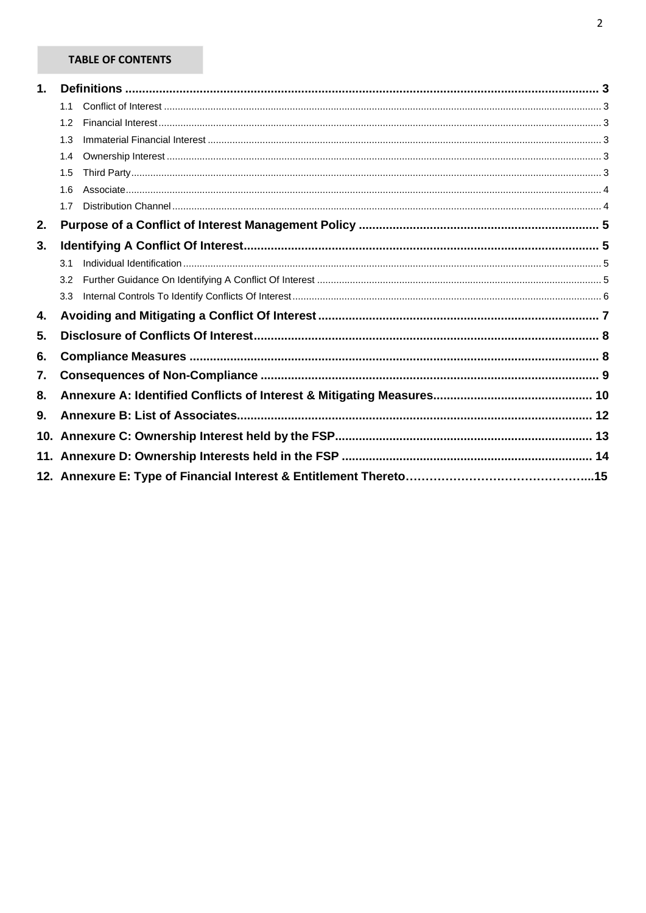## **TABLE OF CONTENTS**

| 1. |                  |  |  |  |
|----|------------------|--|--|--|
|    |                  |  |  |  |
|    | 1.2              |  |  |  |
|    | 1.3              |  |  |  |
|    | 1.4              |  |  |  |
|    | 1.5              |  |  |  |
|    | 1.6              |  |  |  |
|    | 1.7              |  |  |  |
| 2. |                  |  |  |  |
| 3. |                  |  |  |  |
|    | 3.1              |  |  |  |
|    | 3.2              |  |  |  |
|    | 3.3 <sub>2</sub> |  |  |  |
| 4. |                  |  |  |  |
| 5. |                  |  |  |  |
| 6. |                  |  |  |  |
| 7. |                  |  |  |  |
| 8. |                  |  |  |  |
| 9. |                  |  |  |  |
|    |                  |  |  |  |
|    |                  |  |  |  |
|    |                  |  |  |  |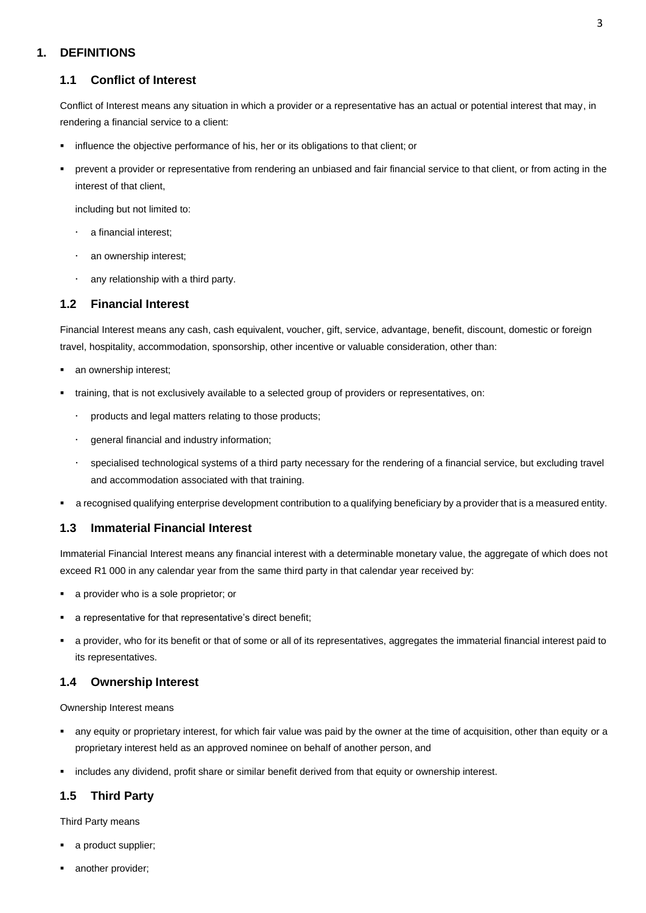## <span id="page-3-1"></span><span id="page-3-0"></span>**1. DEFINITIONS**

#### **1.1 Conflict of Interest**

Conflict of Interest means any situation in which a provider or a representative has an actual or potential interest that may, in rendering a financial service to a client:

- influence the objective performance of his, her or its obligations to that client; or
- prevent a provider or representative from rendering an unbiased and fair financial service to that client, or from acting in the interest of that client,

including but not limited to:

- a financial interest;
- an ownership interest;
- any relationship with a third party.

#### <span id="page-3-2"></span>**1.2 Financial Interest**

Financial Interest means any cash, cash equivalent, voucher, gift, service, advantage, benefit, discount, domestic or foreign travel, hospitality, accommodation, sponsorship, other incentive or valuable consideration, other than:

- an ownership interest;
- training, that is not exclusively available to a selected group of providers or representatives, on:
	- products and legal matters relating to those products;
	- general financial and industry information;
	- specialised technological systems of a third party necessary for the rendering of a financial service, but excluding travel and accommodation associated with that training.
- a recognised qualifying enterprise development contribution to a qualifying beneficiary by a provider that is a measured entity.

### <span id="page-3-3"></span>**1.3 Immaterial Financial Interest**

Immaterial Financial Interest means any financial interest with a determinable monetary value, the aggregate of which does not exceed R1 000 in any calendar year from the same third party in that calendar year received by:

- a provider who is a sole proprietor; or
- a representative for that representative's direct benefit;
- a provider, who for its benefit or that of some or all of its representatives, aggregates the immaterial financial interest paid to its representatives.

#### <span id="page-3-4"></span>**1.4 Ownership Interest**

Ownership Interest means

- any equity or proprietary interest, for which fair value was paid by the owner at the time of acquisition, other than equity or a proprietary interest held as an approved nominee on behalf of another person, and
- includes any dividend, profit share or similar benefit derived from that equity or ownership interest.

### <span id="page-3-5"></span>**1.5 Third Party**

Third Party means

- a product supplier;
- another provider;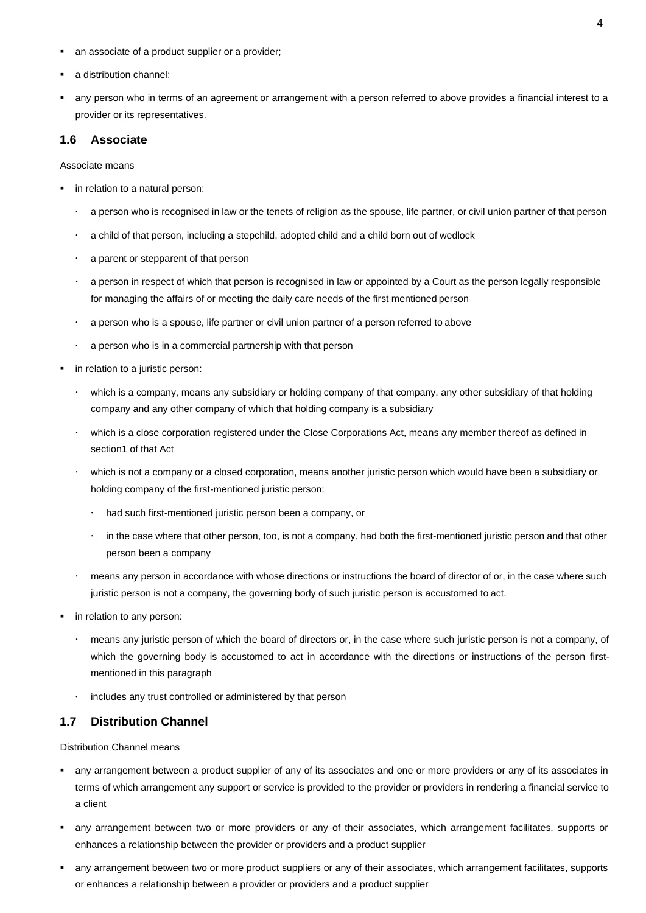- an associate of a product supplier or a provider;
- a distribution channel;
- any person who in terms of an agreement or arrangement with a person referred to above provides a financial interest to a provider or its representatives.

#### <span id="page-4-0"></span>**1.6 Associate**

#### Associate means

- in relation to a natural person:
	- a person who is recognised in law or the tenets of religion as the spouse, life partner, or civil union partner of that person
	- a child of that person, including a stepchild, adopted child and a child born out of wedlock
	- a parent or stepparent of that person
	- a person in respect of which that person is recognised in law or appointed by a Court as the person legally responsible for managing the affairs of or meeting the daily care needs of the first mentioned person
	- a person who is a spouse, life partner or civil union partner of a person referred to above
	- a person who is in a commercial partnership with that person
- in relation to a juristic person:
	- which is a company, means any subsidiary or holding company of that company, any other subsidiary of that holding company and any other company of which that holding company is a subsidiary
	- which is a close corporation registered under the Close Corporations Act, means any member thereof as defined in section1 of that Act
	- which is not a company or a closed corporation, means another juristic person which would have been a subsidiary or holding company of the first-mentioned juristic person:
		- had such first-mentioned juristic person been a company, or
		- in the case where that other person, too, is not a company, had both the first-mentioned juristic person and that other person been a company
	- means any person in accordance with whose directions or instructions the board of director of or, in the case where such juristic person is not a company, the governing body of such juristic person is accustomed to act.
- **·** in relation to any person:
	- means any juristic person of which the board of directors or, in the case where such juristic person is not a company, of which the governing body is accustomed to act in accordance with the directions or instructions of the person firstmentioned in this paragraph
	- $\cdot$  includes any trust controlled or administered by that person

#### <span id="page-4-1"></span>**1.7 Distribution Channel**

Distribution Channel means

- any arrangement between a product supplier of any of its associates and one or more providers or any of its associates in terms of which arrangement any support or service is provided to the provider or providers in rendering a financial service to a client
- any arrangement between two or more providers or any of their associates, which arrangement facilitates, supports or enhances a relationship between the provider or providers and a product supplier
- any arrangement between two or more product suppliers or any of their associates, which arrangement facilitates, supports or enhances a relationship between a provider or providers and a product supplier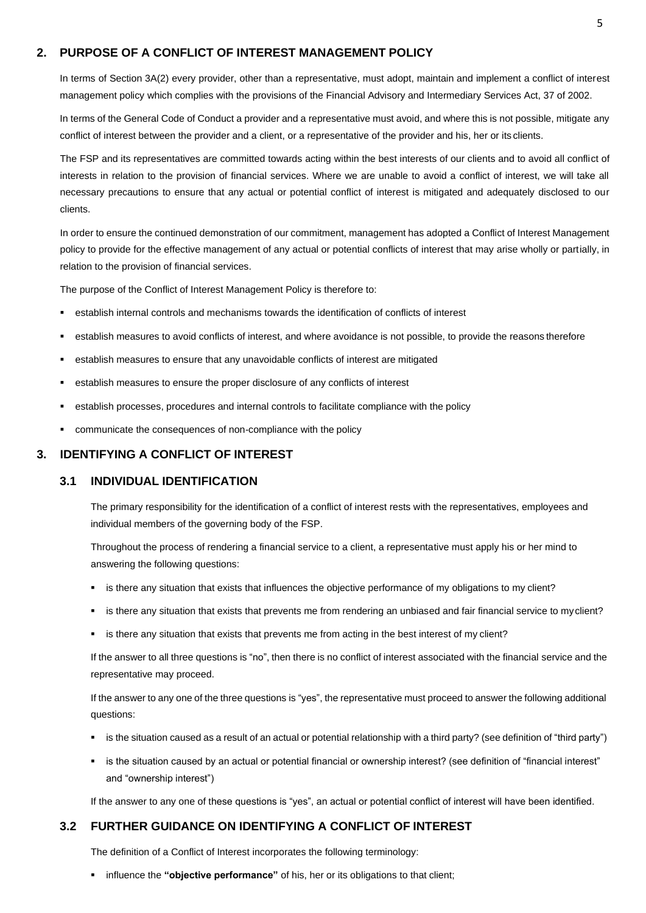#### <span id="page-5-0"></span>**2. PURPOSE OF A CONFLICT OF INTEREST MANAGEMENT POLICY**

In terms of Section 3A(2) every provider, other than a representative, must adopt, maintain and implement a conflict of interest management policy which complies with the provisions of the Financial Advisory and Intermediary Services Act, 37 of 2002.

In terms of the General Code of Conduct a provider and a representative must avoid, and where this is not possible, mitigate any conflict of interest between the provider and a client, or a representative of the provider and his, her or its clients.

The FSP and its representatives are committed towards acting within the best interests of our clients and to avoid all conflict of interests in relation to the provision of financial services. Where we are unable to avoid a conflict of interest, we will take all necessary precautions to ensure that any actual or potential conflict of interest is mitigated and adequately disclosed to our clients.

In order to ensure the continued demonstration of our commitment, management has adopted a Conflict of Interest Management policy to provide for the effective management of any actual or potential conflicts of interest that may arise wholly or partially, in relation to the provision of financial services.

The purpose of the Conflict of Interest Management Policy is therefore to:

- establish internal controls and mechanisms towards the identification of conflicts of interest
- establish measures to avoid conflicts of interest, and where avoidance is not possible, to provide the reasons therefore
- establish measures to ensure that any unavoidable conflicts of interest are mitigated
- establish measures to ensure the proper disclosure of any conflicts of interest
- establish processes, procedures and internal controls to facilitate compliance with the policy
- communicate the consequences of non-compliance with the policy

#### <span id="page-5-2"></span><span id="page-5-1"></span>**3. IDENTIFYING A CONFLICT OF INTEREST**

#### **3.1 INDIVIDUAL IDENTIFICATION**

The primary responsibility for the identification of a conflict of interest rests with the representatives, employees and individual members of the governing body of the FSP.

Throughout the process of rendering a financial service to a client, a representative must apply his or her mind to answering the following questions:

- is there any situation that exists that influences the objective performance of my obligations to my client?
- is there any situation that exists that prevents me from rendering an unbiased and fair financial service to myclient?
- is there any situation that exists that prevents me from acting in the best interest of my client?

If the answer to all three questions is "no", then there is no conflict of interest associated with the financial service and the representative may proceed.

If the answer to any one of the three questions is "yes", the representative must proceed to answer the following additional questions:

- is the situation caused as a result of an actual or potential relationship with a third party? (see definition of "third party")
- is the situation caused by an actual or potential financial or ownership interest? (see definition of "financial interest" and "ownership interest")

If the answer to any one of these questions is "yes", an actual or potential conflict of interest will have been identified.

#### <span id="page-5-3"></span>**3.2 FURTHER GUIDANCE ON IDENTIFYING A CONFLICT OF INTEREST**

The definition of a Conflict of Interest incorporates the following terminology:

influence the "objective performance" of his, her or its obligations to that client;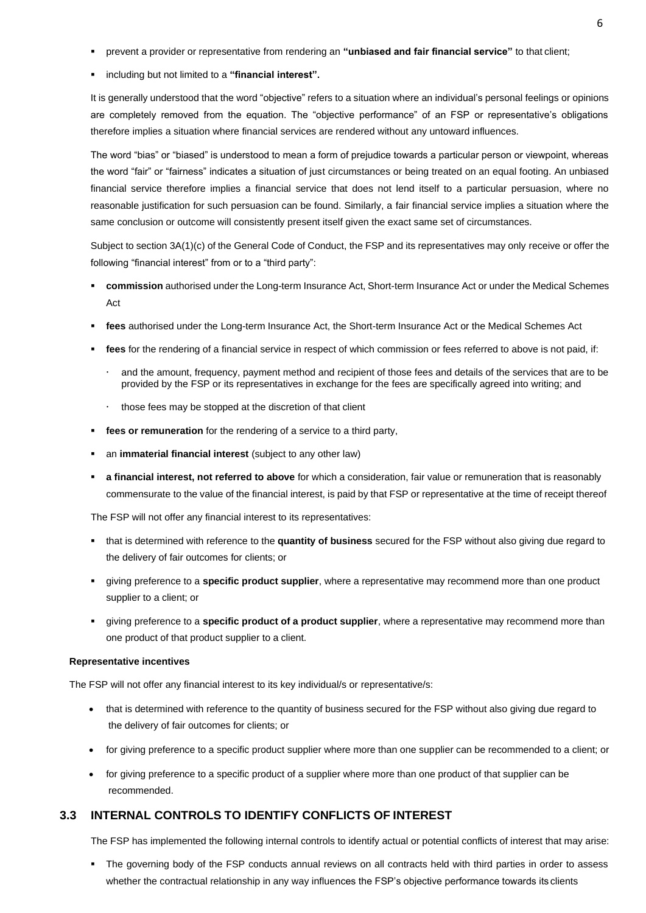- prevent a provider or representative from rendering an "unbiased and fair financial service" to that client;
- including but not limited to a "financial interest".

It is generally understood that the word "objective" refers to a situation where an individual's personal feelings or opinions are completely removed from the equation. The "objective performance" of an FSP or representative's obligations therefore implies a situation where financial services are rendered without any untoward influences.

The word "bias" or "biased" is understood to mean a form of prejudice towards a particular person or viewpoint, whereas the word "fair" or "fairness" indicates a situation of just circumstances or being treated on an equal footing. An unbiased financial service therefore implies a financial service that does not lend itself to a particular persuasion, where no reasonable justification for such persuasion can be found. Similarly, a fair financial service implies a situation where the same conclusion or outcome will consistently present itself given the exact same set of circumstances.

Subject to section 3A(1)(c) of the General Code of Conduct, the FSP and its representatives may only receive or offer the following "financial interest" from or to a "third party":

- **commission** authorised under the Long-term Insurance Act, Short-term Insurance Act or under the Medical Schemes Act
- fees authorised under the Long-term Insurance Act, the Short-term Insurance Act or the Medical Schemes Act
- fees for the rendering of a financial service in respect of which commission or fees referred to above is not paid, if:
	- and the amount, frequency, payment method and recipient of those fees and details of the services that are to be provided by the FSP or its representatives in exchange for the fees are specifically agreed into writing; and
	- $\cdot$  those fees may be stopped at the discretion of that client
- **fees or remuneration** for the rendering of a service to a third party,
- an *immaterial financial interest* (subject to any other law)
- a financial interest, not referred to above for which a consideration, fair value or remuneration that is reasonably commensurate to the value of the financial interest, is paid by that FSP or representative at the time of receipt thereof

The FSP will not offer any financial interest to its representatives:

- that is determined with reference to the **quantity of business** secured for the FSP without also giving due regard to the delivery of fair outcomes for clients; or
- giving preference to a **specific product supplier**, where a representative may recommend more than one product supplier to a client; or
- giving preference to a **specific product of a product supplier**, where a representative may recommend more than one product of that product supplier to a client.

#### **Representative incentives**

The FSP will not offer any financial interest to its key individual/s or representative/s:

- that is determined with reference to the quantity of business secured for the FSP without also giving due regard to the delivery of fair outcomes for clients; or
- for giving preference to a specific product supplier where more than one supplier can be recommended to a client; or
- for giving preference to a specific product of a supplier where more than one product of that supplier can be recommended.

#### <span id="page-6-0"></span>**3.3 INTERNAL CONTROLS TO IDENTIFY CONFLICTS OF INTEREST**

The FSP has implemented the following internal controls to identify actual or potential conflicts of interest that may arise:

The governing body of the FSP conducts annual reviews on all contracts held with third parties in order to assess whether the contractual relationship in any way influences the FSP's objective performance towards its clients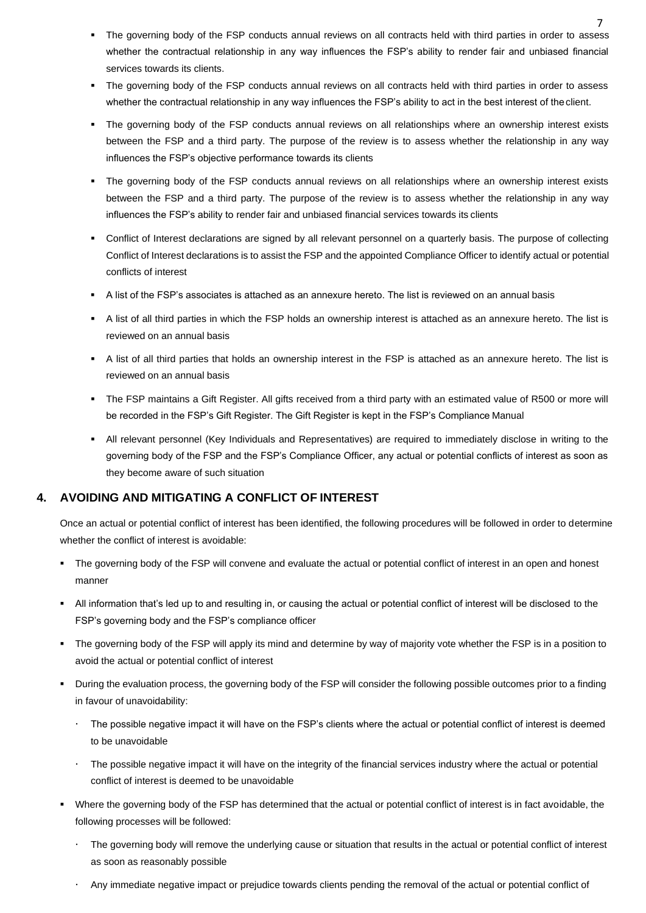- The governing body of the FSP conducts annual reviews on all contracts held with third parties in order to assess whether the contractual relationship in any way influences the FSP's ability to render fair and unbiased financial services towards its clients.
- The governing body of the FSP conducts annual reviews on all contracts held with third parties in order to assess whether the contractual relationship in any way influences the FSP's ability to act in the best interest of the client.
- The governing body of the FSP conducts annual reviews on all relationships where an ownership interest exists between the FSP and a third party. The purpose of the review is to assess whether the relationship in any way influences the FSP's objective performance towards its clients
- The governing body of the FSP conducts annual reviews on all relationships where an ownership interest exists between the FSP and a third party. The purpose of the review is to assess whether the relationship in any way influences the FSP's ability to render fair and unbiased financial services towards its clients
- Conflict of Interest declarations are signed by all relevant personnel on a quarterly basis. The purpose of collecting Conflict of Interest declarations is to assist the FSP and the appointed Compliance Officer to identify actual or potential conflicts of interest
- A list of the FSP's associates is attached as an annexure hereto. The list is reviewed on an annual basis
- A list of all third parties in which the FSP holds an ownership interest is attached as an annexure hereto. The list is reviewed on an annual basis
- A list of all third parties that holds an ownership interest in the FSP is attached as an annexure hereto. The list is reviewed on an annual basis
- The FSP maintains a Gift Register. All gifts received from a third party with an estimated value of R500 or more will be recorded in the FSP's Gift Register. The Gift Register is kept in the FSP's Compliance Manual
- All relevant personnel (Key Individuals and Representatives) are required to immediately disclose in writing to the governing body of the FSP and the FSP's Compliance Officer, any actual or potential conflicts of interest as soon as they become aware of such situation

### <span id="page-7-0"></span>**4. AVOIDING AND MITIGATING A CONFLICT OF INTEREST**

Once an actual or potential conflict of interest has been identified, the following procedures will be followed in order to determine whether the conflict of interest is avoidable:

- The governing body of the FSP will convene and evaluate the actual or potential conflict of interest in an open and honest manner
- All information that's led up to and resulting in, or causing the actual or potential conflict of interest will be disclosed to the FSP's governing body and the FSP's compliance officer
- The governing body of the FSP will apply its mind and determine by way of majority vote whether the FSP is in a position to avoid the actual or potential conflict of interest
- During the evaluation process, the governing body of the FSP will consider the following possible outcomes prior to a finding in favour of unavoidability:
	- The possible negative impact it will have on the FSP's clients where the actual or potential conflict of interest is deemed to be unavoidable
	- The possible negative impact it will have on the integrity of the financial services industry where the actual or potential conflict of interest is deemed to be unavoidable
- Where the governing body of the FSP has determined that the actual or potential conflict of interest is in fact avoidable, the following processes will be followed:
	- The governing body will remove the underlying cause or situation that results in the actual or potential conflict of interest as soon as reasonably possible
	- Any immediate negative impact or prejudice towards clients pending the removal of the actual or potential conflict of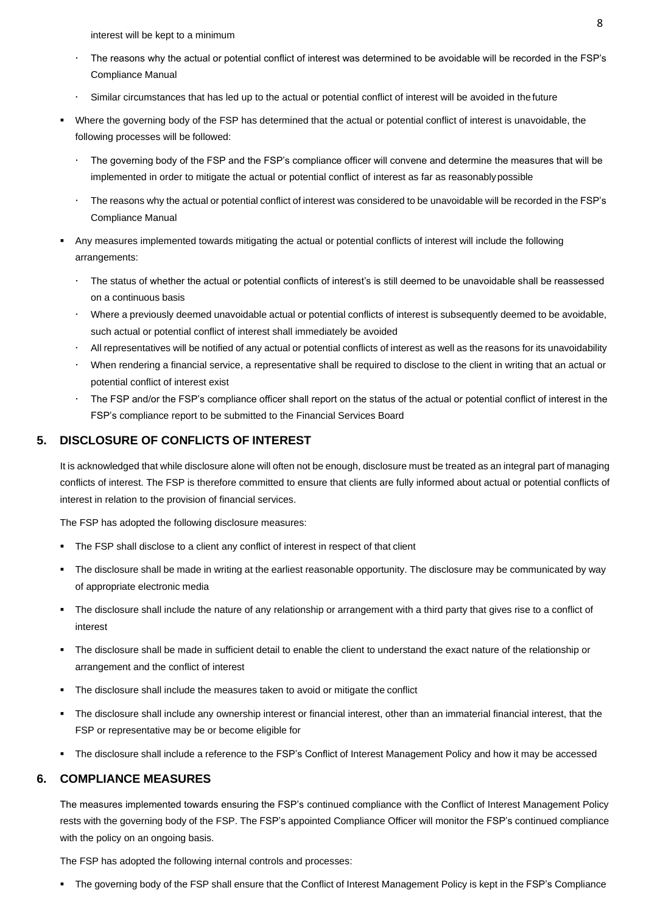interest will be kept to a minimum

- The reasons why the actual or potential conflict of interest was determined to be avoidable will be recorded in the FSP's Compliance Manual
- Similar circumstances that has led up to the actual or potential conflict of interest will be avoided in the future
- Where the governing body of the FSP has determined that the actual or potential conflict of interest is unavoidable, the following processes will be followed:
	- The governing body of the FSP and the FSP's compliance officer will convene and determine the measures that will be implemented in order to mitigate the actual or potential conflict of interest as far as reasonablypossible
	- The reasons why the actual or potential conflict of interest was considered to be unavoidable will be recorded in the FSP's Compliance Manual
- Any measures implemented towards mitigating the actual or potential conflicts of interest will include the following arrangements:
	- The status of whether the actual or potential conflicts of interest's is still deemed to be unavoidable shall be reassessed on a continuous basis
	- Where a previously deemed unavoidable actual or potential conflicts of interest is subsequently deemed to be avoidable, such actual or potential conflict of interest shall immediately be avoided
	- All representatives will be notified of any actual or potential conflicts of interest as well as the reasons for its unavoidability
	- When rendering a financial service, a representative shall be required to disclose to the client in writing that an actual or potential conflict of interest exist
	- The FSP and/or the FSP's compliance officer shall report on the status of the actual or potential conflict of interest in the FSP's compliance report to be submitted to the Financial Services Board

#### <span id="page-8-0"></span>**5. DISCLOSURE OF CONFLICTS OF INTEREST**

It is acknowledged that while disclosure alone will often not be enough, disclosure must be treated as an integral part of managing conflicts of interest. The FSP is therefore committed to ensure that clients are fully informed about actual or potential conflicts of interest in relation to the provision of financial services.

The FSP has adopted the following disclosure measures:

- The FSP shall disclose to a client any conflict of interest in respect of that client
- The disclosure shall be made in writing at the earliest reasonable opportunity. The disclosure may be communicated by way of appropriate electronic media
- The disclosure shall include the nature of any relationship or arrangement with a third party that gives rise to a conflict of interest
- The disclosure shall be made in sufficient detail to enable the client to understand the exact nature of the relationship or arrangement and the conflict of interest
- The disclosure shall include the measures taken to avoid or mitigate the conflict
- The disclosure shall include any ownership interest or financial interest, other than an immaterial financial interest, that the FSP or representative may be or become eligible for
- The disclosure shall include a reference to the FSP's Conflict of Interest Management Policy and how it may be accessed

#### <span id="page-8-1"></span>**6. COMPLIANCE MEASURES**

The measures implemented towards ensuring the FSP's continued compliance with the Conflict of Interest Management Policy rests with the governing body of the FSP. The FSP's appointed Compliance Officer will monitor the FSP's continued compliance with the policy on an ongoing basis.

The FSP has adopted the following internal controls and processes:

The governing body of the FSP shall ensure that the Conflict of Interest Management Policy is kept in the FSP's Compliance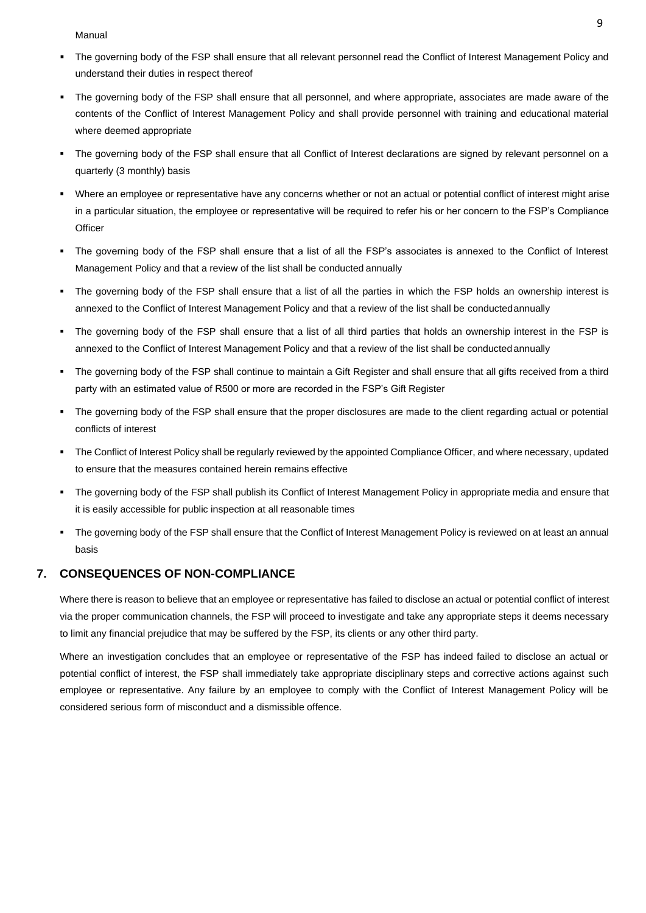Manual

- The governing body of the FSP shall ensure that all relevant personnel read the Conflict of Interest Management Policy and understand their duties in respect thereof
- The governing body of the FSP shall ensure that all personnel, and where appropriate, associates are made aware of the contents of the Conflict of Interest Management Policy and shall provide personnel with training and educational material where deemed appropriate
- The governing body of the FSP shall ensure that all Conflict of Interest declarations are signed by relevant personnel on a quarterly (3 monthly) basis
- Where an employee or representative have any concerns whether or not an actual or potential conflict of interest might arise in a particular situation, the employee or representative will be required to refer his or her concern to the FSP's Compliance **Officer**
- The governing body of the FSP shall ensure that a list of all the FSP's associates is annexed to the Conflict of Interest Management Policy and that a review of the list shall be conducted annually
- The governing body of the FSP shall ensure that a list of all the parties in which the FSP holds an ownership interest is annexed to the Conflict of Interest Management Policy and that a review of the list shall be conductedannually
- The governing body of the FSP shall ensure that a list of all third parties that holds an ownership interest in the FSP is annexed to the Conflict of Interest Management Policy and that a review of the list shall be conducted annually
- The governing body of the FSP shall continue to maintain a Gift Register and shall ensure that all gifts received from a third party with an estimated value of R500 or more are recorded in the FSP's Gift Register
- The governing body of the FSP shall ensure that the proper disclosures are made to the client regarding actual or potential conflicts of interest
- The Conflict of Interest Policy shall be regularly reviewed by the appointed Compliance Officer, and where necessary, updated to ensure that the measures contained herein remains effective
- The governing body of the FSP shall publish its Conflict of Interest Management Policy in appropriate media and ensure that it is easily accessible for public inspection at all reasonable times
- The governing body of the FSP shall ensure that the Conflict of Interest Management Policy is reviewed on at least an annual basis

#### <span id="page-9-0"></span>**7. CONSEQUENCES OF NON-COMPLIANCE**

Where there is reason to believe that an employee or representative has failed to disclose an actual or potential conflict of interest via the proper communication channels, the FSP will proceed to investigate and take any appropriate steps it deems necessary to limit any financial prejudice that may be suffered by the FSP, its clients or any other third party.

Where an investigation concludes that an employee or representative of the FSP has indeed failed to disclose an actual or potential conflict of interest, the FSP shall immediately take appropriate disciplinary steps and corrective actions against such employee or representative. Any failure by an employee to comply with the Conflict of Interest Management Policy will be considered serious form of misconduct and a dismissible offence.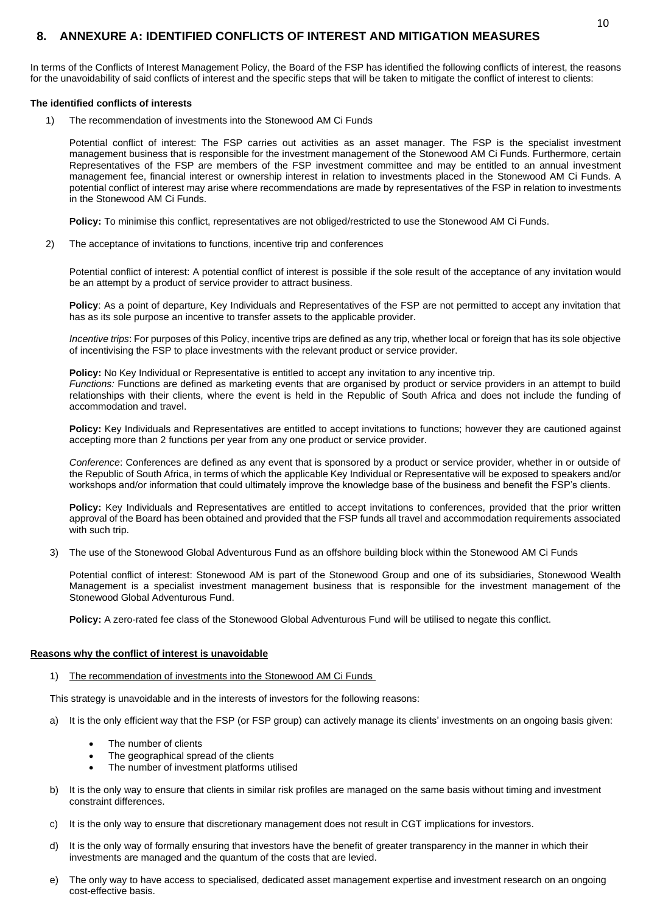### **8. ANNEXURE A: IDENTIFIED CONFLICTS OF INTEREST AND MITIGATION MEASURES**

In terms of the Conflicts of Interest Management Policy, the Board of the FSP has identified the following conflicts of interest, the reasons for the unavoidability of said conflicts of interest and the specific steps that will be taken to mitigate the conflict of interest to clients:

#### **The identified conflicts of interests**

1) The recommendation of investments into the Stonewood AM Ci Funds

Potential conflict of interest: The FSP carries out activities as an asset manager. The FSP is the specialist investment management business that is responsible for the investment management of the Stonewood AM Ci Funds. Furthermore, certain Representatives of the FSP are members of the FSP investment committee and may be entitled to an annual investment management fee, financial interest or ownership interest in relation to investments placed in the Stonewood AM Ci Funds. A potential conflict of interest may arise where recommendations are made by representatives of the FSP in relation to investments in the Stonewood AM Ci Funds.

**Policy:** To minimise this conflict, representatives are not obliged/restricted to use the Stonewood AM Ci Funds.

2) The acceptance of invitations to functions, incentive trip and conferences

Potential conflict of interest: A potential conflict of interest is possible if the sole result of the acceptance of any invitation would be an attempt by a product of service provider to attract business.

**Policy**: As a point of departure, Key Individuals and Representatives of the FSP are not permitted to accept any invitation that has as its sole purpose an incentive to transfer assets to the applicable provider.

*Incentive trips*: For purposes of this Policy, incentive trips are defined as any trip, whether local or foreign that has its sole objective of incentivising the FSP to place investments with the relevant product or service provider.

**Policy:** No Key Individual or Representative is entitled to accept any invitation to any incentive trip. *Functions:* Functions are defined as marketing events that are organised by product or service providers in an attempt to build relationships with their clients, where the event is held in the Republic of South Africa and does not include the funding of accommodation and travel.

**Policy:** Key Individuals and Representatives are entitled to accept invitations to functions; however they are cautioned against accepting more than 2 functions per year from any one product or service provider.

*Conference*: Conferences are defined as any event that is sponsored by a product or service provider, whether in or outside of the Republic of South Africa, in terms of which the applicable Key Individual or Representative will be exposed to speakers and/or workshops and/or information that could ultimately improve the knowledge base of the business and benefit the FSP's clients.

Policy: Key Individuals and Representatives are entitled to accept invitations to conferences, provided that the prior written approval of the Board has been obtained and provided that the FSP funds all travel and accommodation requirements associated with such trip.

3) The use of the Stonewood Global Adventurous Fund as an offshore building block within the Stonewood AM Ci Funds

Potential conflict of interest: Stonewood AM is part of the Stonewood Group and one of its subsidiaries, Stonewood Wealth Management is a specialist investment management business that is responsible for the investment management of the Stonewood Global Adventurous Fund.

**Policy:** A zero-rated fee class of the Stonewood Global Adventurous Fund will be utilised to negate this conflict.

#### **Reasons why the conflict of interest is unavoidable**

1) The recommendation of investments into the Stonewood AM Ci Funds

This strategy is unavoidable and in the interests of investors for the following reasons:

- a) It is the only efficient way that the FSP (or FSP group) can actively manage its clients' investments on an ongoing basis given:
	- The number of clients
	- The geographical spread of the clients
	- The number of investment platforms utilised
- b) It is the only way to ensure that clients in similar risk profiles are managed on the same basis without timing and investment constraint differences.
- c) It is the only way to ensure that discretionary management does not result in CGT implications for investors.
- d) It is the only way of formally ensuring that investors have the benefit of greater transparency in the manner in which their investments are managed and the quantum of the costs that are levied.
- e) The only way to have access to specialised, dedicated asset management expertise and investment research on an ongoing cost-effective basis.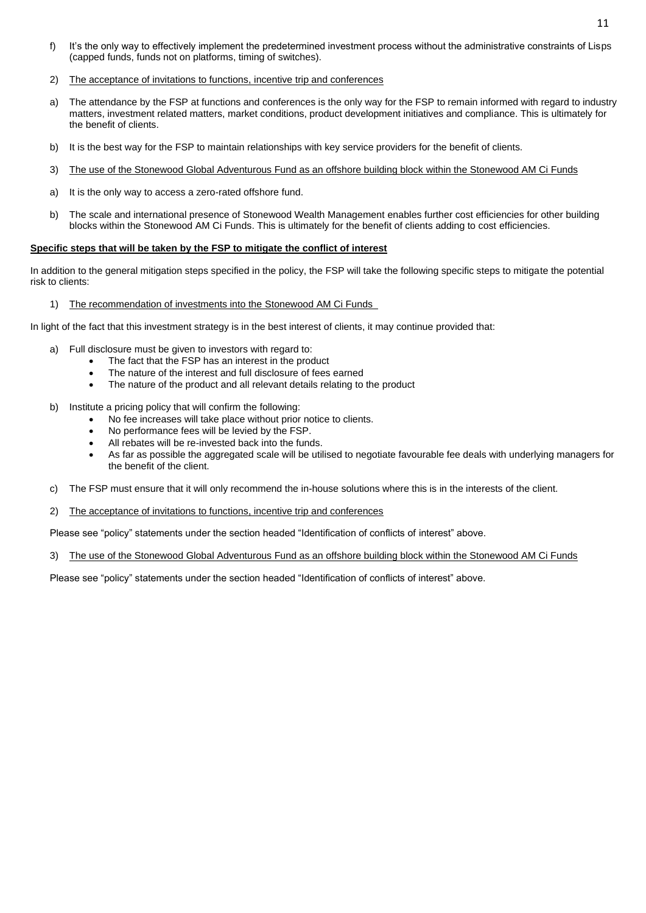- f) It's the only way to effectively implement the predetermined investment process without the administrative constraints of Lisps (capped funds, funds not on platforms, timing of switches).
- 2) The acceptance of invitations to functions, incentive trip and conferences
- a) The attendance by the FSP at functions and conferences is the only way for the FSP to remain informed with regard to industry matters, investment related matters, market conditions, product development initiatives and compliance. This is ultimately for the benefit of clients.
- b) It is the best way for the FSP to maintain relationships with key service providers for the benefit of clients.
- 3) The use of the Stonewood Global Adventurous Fund as an offshore building block within the Stonewood AM Ci Funds
- a) It is the only way to access a zero-rated offshore fund.
- b) The scale and international presence of Stonewood Wealth Management enables further cost efficiencies for other building blocks within the Stonewood AM Ci Funds. This is ultimately for the benefit of clients adding to cost efficiencies.

#### **Specific steps that will be taken by the FSP to mitigate the conflict of interest**

In addition to the general mitigation steps specified in the policy, the FSP will take the following specific steps to mitigate the potential risk to clients:

1) The recommendation of investments into the Stonewood AM Ci Funds

In light of the fact that this investment strategy is in the best interest of clients, it may continue provided that:

- a) Full disclosure must be given to investors with regard to:
	- The fact that the FSP has an interest in the product
	- The nature of the interest and full disclosure of fees earned
	- The nature of the product and all relevant details relating to the product
- b) Institute a pricing policy that will confirm the following:
	- No fee increases will take place without prior notice to clients.
	- No performance fees will be levied by the FSP.
	- All rebates will be re-invested back into the funds.
	- As far as possible the aggregated scale will be utilised to negotiate favourable fee deals with underlying managers for the benefit of the client.
- c) The FSP must ensure that it will only recommend the in-house solutions where this is in the interests of the client.
- 2) The acceptance of invitations to functions, incentive trip and conferences

Please see "policy" statements under the section headed "Identification of conflicts of interest" above.

3) The use of the Stonewood Global Adventurous Fund as an offshore building block within the Stonewood AM Ci Funds

Please see "policy" statements under the section headed "Identification of conflicts of interest" above.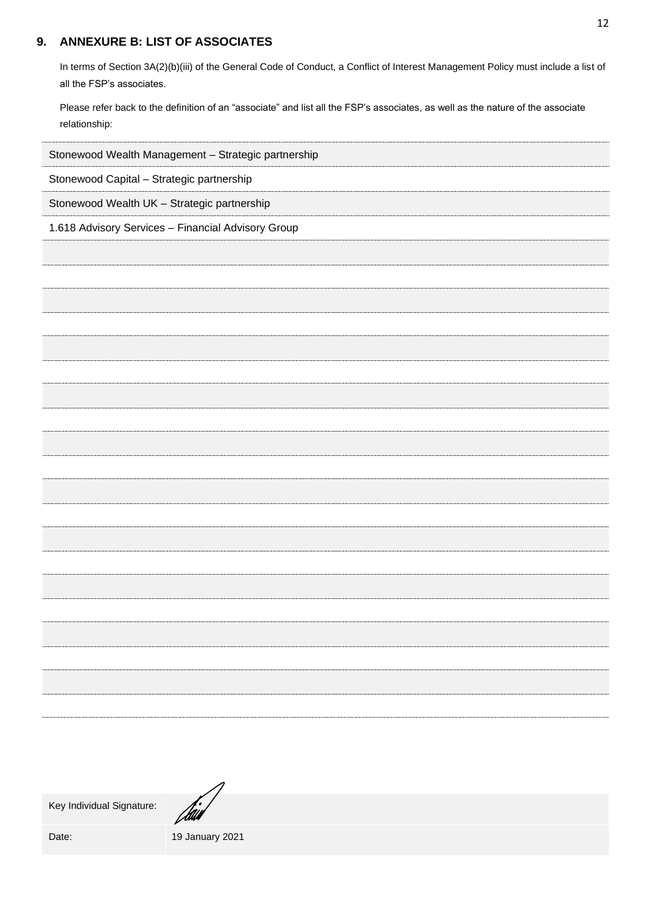## <span id="page-12-0"></span>**9. ANNEXURE B: LIST OF ASSOCIATES**

In terms of Section 3A(2)(b)(iii) of the General Code of Conduct, a Conflict of Interest Management Policy must include a list of all the FSP's associates.

Please refer back to the definition of an "associate" and list all the FSP's associates, as well as the nature of the associate relationship:

| Stonewood Wealth Management - Strategic partnership |
|-----------------------------------------------------|
| Stonewood Capital - Strategic partnership           |
| Stonewood Wealth UK - Strategic partnership         |
| 1.618 Advisory Services - Financial Advisory Group  |
|                                                     |
|                                                     |
|                                                     |
|                                                     |
|                                                     |
|                                                     |
|                                                     |
|                                                     |
|                                                     |
|                                                     |
|                                                     |
|                                                     |
|                                                     |
|                                                     |
|                                                     |
|                                                     |
|                                                     |
|                                                     |
|                                                     |
|                                                     |

Key Individual Signature:

Jaw

Date: 19 January 2021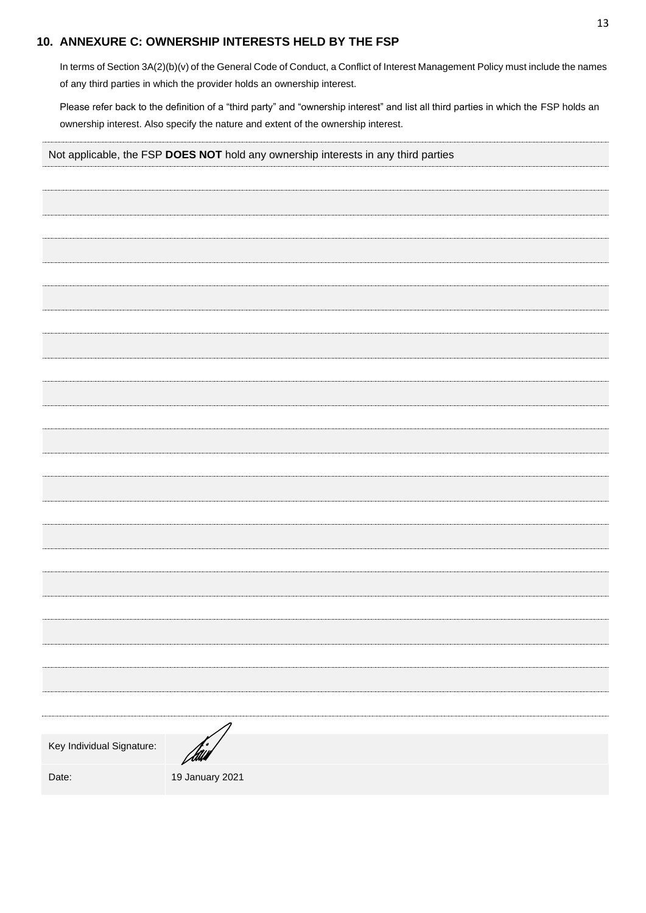#### <span id="page-13-0"></span>**10. ANNEXURE C: OWNERSHIP INTERESTS HELD BY THE FSP**

In terms of Section 3A(2)(b)(v) of the General Code of Conduct, a Conflict of Interest Management Policy must include the names of any third parties in which the provider holds an ownership interest.

Please refer back to the definition of a "third party" and "ownership interest" and list all third parties in which the FSP holds an ownership interest. Also specify the nature and extent of the ownership interest.

| Not applicable, the FSP DOES NOT hold any ownership interests in any third parties |                 |  |  |  |
|------------------------------------------------------------------------------------|-----------------|--|--|--|
|                                                                                    |                 |  |  |  |
|                                                                                    |                 |  |  |  |
|                                                                                    |                 |  |  |  |
|                                                                                    |                 |  |  |  |
|                                                                                    |                 |  |  |  |
|                                                                                    |                 |  |  |  |
|                                                                                    |                 |  |  |  |
|                                                                                    |                 |  |  |  |
|                                                                                    |                 |  |  |  |
|                                                                                    |                 |  |  |  |
|                                                                                    |                 |  |  |  |
|                                                                                    |                 |  |  |  |
|                                                                                    |                 |  |  |  |
|                                                                                    |                 |  |  |  |
|                                                                                    |                 |  |  |  |
|                                                                                    |                 |  |  |  |
|                                                                                    |                 |  |  |  |
|                                                                                    |                 |  |  |  |
|                                                                                    |                 |  |  |  |
|                                                                                    |                 |  |  |  |
|                                                                                    |                 |  |  |  |
|                                                                                    |                 |  |  |  |
|                                                                                    |                 |  |  |  |
|                                                                                    |                 |  |  |  |
|                                                                                    |                 |  |  |  |
|                                                                                    |                 |  |  |  |
| Key Individual Signature:                                                          |                 |  |  |  |
|                                                                                    | Van             |  |  |  |
| Date:                                                                              | 19 January 2021 |  |  |  |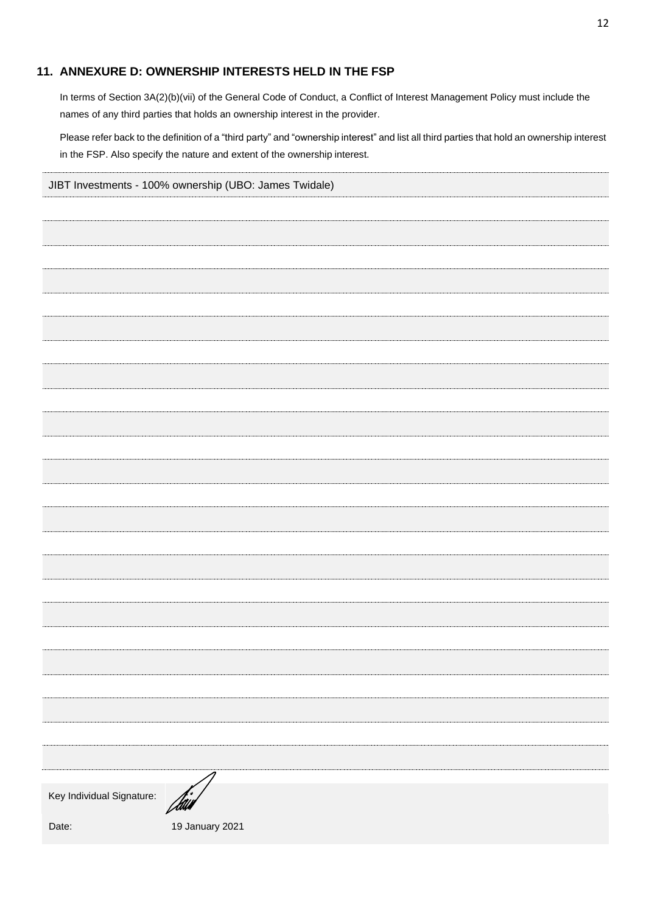## <span id="page-14-0"></span>**11. ANNEXURE D: OWNERSHIP INTERESTS HELD IN THE FSP**

In terms of Section 3A(2)(b)(vii) of the General Code of Conduct, a Conflict of Interest Management Policy must include the names of any third parties that holds an ownership interest in the provider.

Please refer back to the definition of a "third party" and "ownership interest" and list all third parties that hold an ownership interest in the FSP. Also specify the nature and extent of the ownership interest.

| JIBT Investments - 100% ownership (UBO: James Twidale) |                 |  |  |  |
|--------------------------------------------------------|-----------------|--|--|--|
|                                                        |                 |  |  |  |
|                                                        |                 |  |  |  |
|                                                        |                 |  |  |  |
|                                                        |                 |  |  |  |
|                                                        |                 |  |  |  |
|                                                        |                 |  |  |  |
|                                                        |                 |  |  |  |
|                                                        |                 |  |  |  |
|                                                        |                 |  |  |  |
|                                                        |                 |  |  |  |
|                                                        |                 |  |  |  |
|                                                        |                 |  |  |  |
|                                                        |                 |  |  |  |
|                                                        |                 |  |  |  |
|                                                        |                 |  |  |  |
|                                                        |                 |  |  |  |
|                                                        |                 |  |  |  |
|                                                        |                 |  |  |  |
|                                                        |                 |  |  |  |
|                                                        |                 |  |  |  |
|                                                        |                 |  |  |  |
|                                                        |                 |  |  |  |
|                                                        |                 |  |  |  |
|                                                        |                 |  |  |  |
|                                                        |                 |  |  |  |
| Key Individual Signature:                              | $\mu$           |  |  |  |
| Date:                                                  | 19 January 2021 |  |  |  |